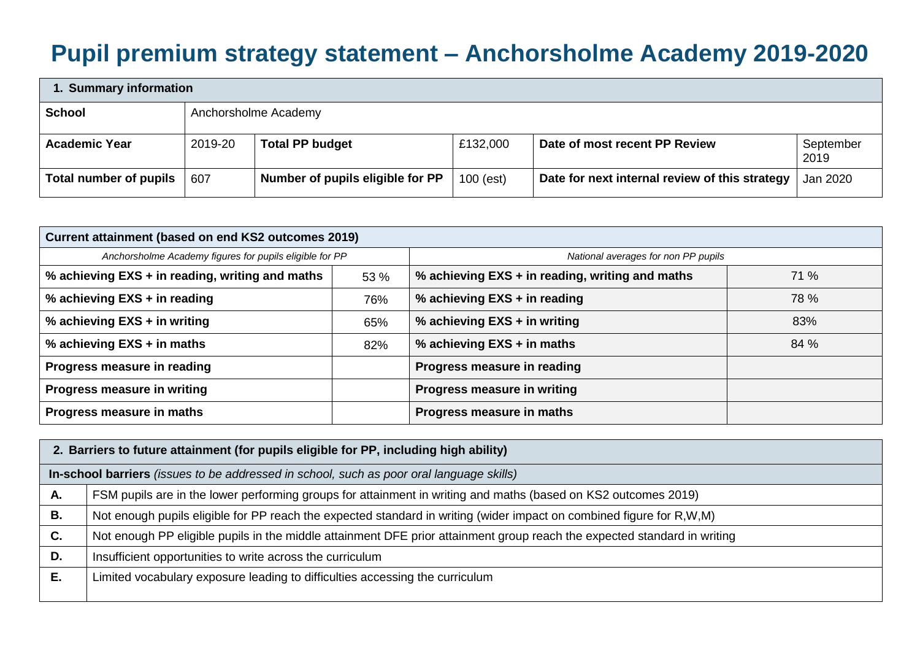## **Pupil premium strategy statement – Anchorsholme Academy 2019-2020**

| 1. Summary information |         |                                  |             |                                                |                   |  |  |
|------------------------|---------|----------------------------------|-------------|------------------------------------------------|-------------------|--|--|
| <b>School</b>          |         | Anchorsholme Academy             |             |                                                |                   |  |  |
| <b>Academic Year</b>   | 2019-20 | <b>Total PP budget</b>           | £132,000    | Date of most recent PP Review                  | September<br>2019 |  |  |
| Total number of pupils | 607     | Number of pupils eligible for PP | $100$ (est) | Date for next internal review of this strategy | Jan 2020          |  |  |

| Current attainment (based on end KS2 outcomes 2019)     |      |                                                 |      |  |
|---------------------------------------------------------|------|-------------------------------------------------|------|--|
| Anchorsholme Academy figures for pupils eligible for PP |      | National averages for non PP pupils             |      |  |
| % achieving EXS + in reading, writing and maths         | 53 % | % achieving EXS + in reading, writing and maths | 71 % |  |
| % achieving EXS + in reading                            | 76%  | % achieving EXS + in reading                    | 78 % |  |
| % achieving EXS + in writing                            | 65%  | % achieving EXS + in writing                    | 83%  |  |
| % achieving EXS + in maths                              | 82%  | % achieving EXS + in maths                      | 84 % |  |
| Progress measure in reading                             |      | Progress measure in reading                     |      |  |
| Progress measure in writing                             |      | Progress measure in writing                     |      |  |
| Progress measure in maths                               |      | Progress measure in maths                       |      |  |

|    | 2. Barriers to future attainment (for pupils eligible for PP, including high ability)                                    |  |  |  |  |
|----|--------------------------------------------------------------------------------------------------------------------------|--|--|--|--|
|    | In-school barriers (issues to be addressed in school, such as poor oral language skills)                                 |  |  |  |  |
| Α. | FSM pupils are in the lower performing groups for attainment in writing and maths (based on KS2 outcomes 2019)           |  |  |  |  |
| В. | Not enough pupils eligible for PP reach the expected standard in writing (wider impact on combined figure for R,W,M)     |  |  |  |  |
| C. | Not enough PP eligible pupils in the middle attainment DFE prior attainment group reach the expected standard in writing |  |  |  |  |
| D. | Insufficient opportunities to write across the curriculum                                                                |  |  |  |  |
| Е. | Limited vocabulary exposure leading to difficulties accessing the curriculum                                             |  |  |  |  |
|    |                                                                                                                          |  |  |  |  |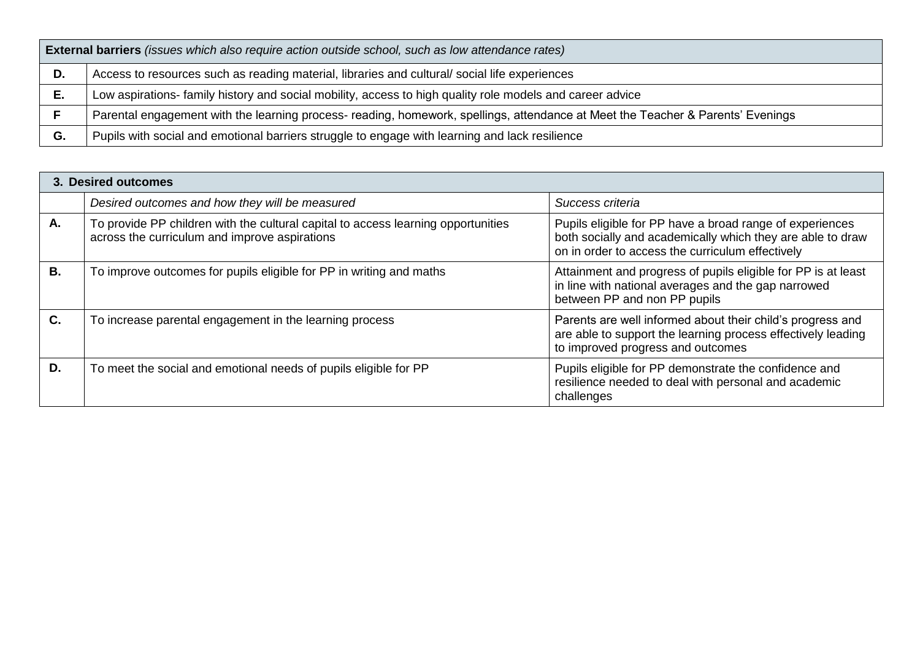|    | <b>External barriers</b> (issues which also require action outside school, such as low attendance rates)                        |  |  |  |  |
|----|---------------------------------------------------------------------------------------------------------------------------------|--|--|--|--|
| D. | Access to resources such as reading material, libraries and cultural/social life experiences                                    |  |  |  |  |
| Е. | Low aspirations- family history and social mobility, access to high quality role models and career advice                       |  |  |  |  |
|    | Parental engagement with the learning process- reading, homework, spellings, attendance at Meet the Teacher & Parents' Evenings |  |  |  |  |
| G. | Pupils with social and emotional barriers struggle to engage with learning and lack resilience                                  |  |  |  |  |

|    | 3. Desired outcomes                                                                                                                |                                                                                                                                                                            |
|----|------------------------------------------------------------------------------------------------------------------------------------|----------------------------------------------------------------------------------------------------------------------------------------------------------------------------|
|    | Desired outcomes and how they will be measured                                                                                     | Success criteria                                                                                                                                                           |
| Α. | To provide PP children with the cultural capital to access learning opportunities<br>across the curriculum and improve aspirations | Pupils eligible for PP have a broad range of experiences<br>both socially and academically which they are able to draw<br>on in order to access the curriculum effectively |
| В. | To improve outcomes for pupils eligible for PP in writing and maths                                                                | Attainment and progress of pupils eligible for PP is at least<br>in line with national averages and the gap narrowed<br>between PP and non PP pupils                       |
| C. | To increase parental engagement in the learning process                                                                            | Parents are well informed about their child's progress and<br>are able to support the learning process effectively leading<br>to improved progress and outcomes            |
| D. | To meet the social and emotional needs of pupils eligible for PP                                                                   | Pupils eligible for PP demonstrate the confidence and<br>resilience needed to deal with personal and academic<br>challenges                                                |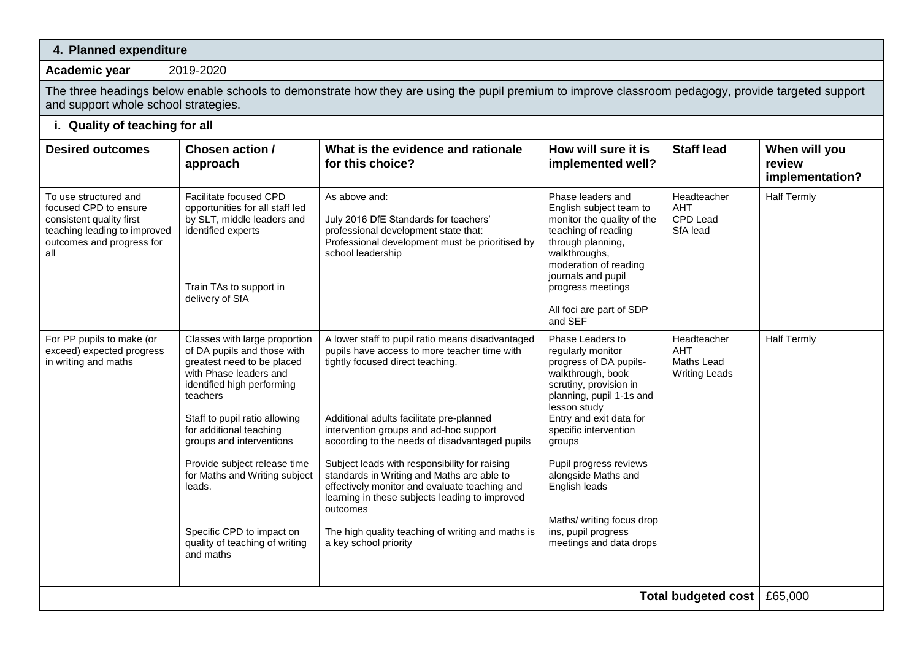| 4. Planned expenditure                                                                                                                         |                                                                                                                                                                                                                                                                                                                                                                                                               |                                                                                                                                                                                                                                                                                                                                                                                                                                                                                                                                                                          |                                                                                                                                                                                                                                                                                                                                                                           |                                                                 |                                            |  |  |
|------------------------------------------------------------------------------------------------------------------------------------------------|---------------------------------------------------------------------------------------------------------------------------------------------------------------------------------------------------------------------------------------------------------------------------------------------------------------------------------------------------------------------------------------------------------------|--------------------------------------------------------------------------------------------------------------------------------------------------------------------------------------------------------------------------------------------------------------------------------------------------------------------------------------------------------------------------------------------------------------------------------------------------------------------------------------------------------------------------------------------------------------------------|---------------------------------------------------------------------------------------------------------------------------------------------------------------------------------------------------------------------------------------------------------------------------------------------------------------------------------------------------------------------------|-----------------------------------------------------------------|--------------------------------------------|--|--|
| Academic year                                                                                                                                  | 2019-2020                                                                                                                                                                                                                                                                                                                                                                                                     |                                                                                                                                                                                                                                                                                                                                                                                                                                                                                                                                                                          |                                                                                                                                                                                                                                                                                                                                                                           |                                                                 |                                            |  |  |
|                                                                                                                                                | The three headings below enable schools to demonstrate how they are using the pupil premium to improve classroom pedagogy, provide targeted support<br>and support whole school strategies.                                                                                                                                                                                                                   |                                                                                                                                                                                                                                                                                                                                                                                                                                                                                                                                                                          |                                                                                                                                                                                                                                                                                                                                                                           |                                                                 |                                            |  |  |
| i. Quality of teaching for all                                                                                                                 |                                                                                                                                                                                                                                                                                                                                                                                                               |                                                                                                                                                                                                                                                                                                                                                                                                                                                                                                                                                                          |                                                                                                                                                                                                                                                                                                                                                                           |                                                                 |                                            |  |  |
| <b>Desired outcomes</b>                                                                                                                        | Chosen action /<br>approach                                                                                                                                                                                                                                                                                                                                                                                   | What is the evidence and rationale<br>for this choice?                                                                                                                                                                                                                                                                                                                                                                                                                                                                                                                   | How will sure it is<br>implemented well?                                                                                                                                                                                                                                                                                                                                  | <b>Staff lead</b>                                               | When will you<br>review<br>implementation? |  |  |
| To use structured and<br>focused CPD to ensure<br>consistent quality first<br>teaching leading to improved<br>outcomes and progress for<br>all | Facilitate focused CPD<br>opportunities for all staff led<br>by SLT, middle leaders and<br>identified experts<br>Train TAs to support in<br>delivery of SfA                                                                                                                                                                                                                                                   | As above and:<br>July 2016 DfE Standards for teachers'<br>professional development state that:<br>Professional development must be prioritised by<br>school leadership                                                                                                                                                                                                                                                                                                                                                                                                   | Phase leaders and<br>English subject team to<br>monitor the quality of the<br>teaching of reading<br>through planning,<br>walkthroughs,<br>moderation of reading<br>journals and pupil<br>progress meetings<br>All foci are part of SDP<br>and SEF                                                                                                                        | Headteacher<br>AHT<br>CPD Lead<br>SfA lead                      | <b>Half Termly</b>                         |  |  |
| For PP pupils to make (or<br>exceed) expected progress<br>in writing and maths                                                                 | Classes with large proportion<br>of DA pupils and those with<br>greatest need to be placed<br>with Phase leaders and<br>identified high performing<br>teachers<br>Staff to pupil ratio allowing<br>for additional teaching<br>groups and interventions<br>Provide subject release time<br>for Maths and Writing subject<br>leads.<br>Specific CPD to impact on<br>quality of teaching of writing<br>and maths | A lower staff to pupil ratio means disadvantaged<br>pupils have access to more teacher time with<br>tightly focused direct teaching.<br>Additional adults facilitate pre-planned<br>intervention groups and ad-hoc support<br>according to the needs of disadvantaged pupils<br>Subject leads with responsibility for raising<br>standards in Writing and Maths are able to<br>effectively monitor and evaluate teaching and<br>learning in these subjects leading to improved<br>outcomes<br>The high quality teaching of writing and maths is<br>a key school priority | Phase Leaders to<br>regularly monitor<br>progress of DA pupils-<br>walkthrough, book<br>scrutiny, provision in<br>planning, pupil 1-1s and<br>lesson study<br>Entry and exit data for<br>specific intervention<br>groups<br>Pupil progress reviews<br>alongside Maths and<br>English leads<br>Maths/ writing focus drop<br>ins, pupil progress<br>meetings and data drops | Headteacher<br><b>AHT</b><br>Maths Lead<br><b>Writing Leads</b> | <b>Half Termly</b>                         |  |  |
|                                                                                                                                                |                                                                                                                                                                                                                                                                                                                                                                                                               |                                                                                                                                                                                                                                                                                                                                                                                                                                                                                                                                                                          |                                                                                                                                                                                                                                                                                                                                                                           | Total budgeted cost   £65,000                                   |                                            |  |  |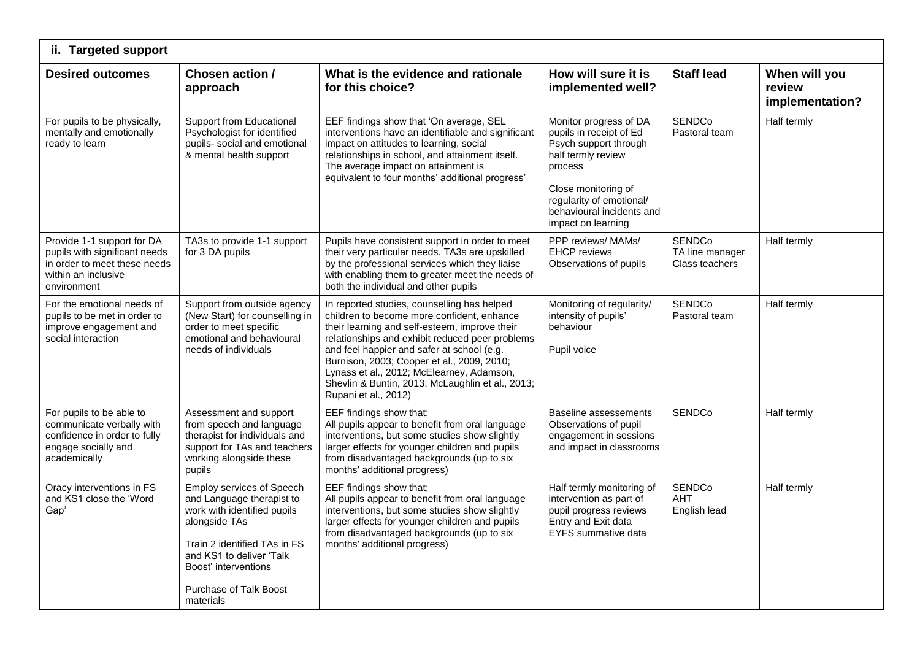| ii. Targeted support                                                                                                              |                                                                                                                                                                                                                                          |                                                                                                                                                                                                                                                                                                                                                                                                                    |                                                                                                                                                                                                                   |                                                    |                                            |
|-----------------------------------------------------------------------------------------------------------------------------------|------------------------------------------------------------------------------------------------------------------------------------------------------------------------------------------------------------------------------------------|--------------------------------------------------------------------------------------------------------------------------------------------------------------------------------------------------------------------------------------------------------------------------------------------------------------------------------------------------------------------------------------------------------------------|-------------------------------------------------------------------------------------------------------------------------------------------------------------------------------------------------------------------|----------------------------------------------------|--------------------------------------------|
| <b>Desired outcomes</b>                                                                                                           | Chosen action /<br>approach                                                                                                                                                                                                              | What is the evidence and rationale<br>for this choice?                                                                                                                                                                                                                                                                                                                                                             | How will sure it is<br>implemented well?                                                                                                                                                                          | <b>Staff lead</b>                                  | When will you<br>review<br>implementation? |
| For pupils to be physically,<br>mentally and emotionally<br>ready to learn                                                        | Support from Educational<br>Psychologist for identified<br>pupils- social and emotional<br>& mental health support                                                                                                                       | EEF findings show that 'On average, SEL<br>interventions have an identifiable and significant<br>impact on attitudes to learning, social<br>relationships in school, and attainment itself.<br>The average impact on attainment is<br>equivalent to four months' additional progress'                                                                                                                              | Monitor progress of DA<br>pupils in receipt of Ed<br>Psych support through<br>half termly review<br>process<br>Close monitoring of<br>regularity of emotional/<br>behavioural incidents and<br>impact on learning | <b>SENDCo</b><br>Pastoral team                     | Half termly                                |
| Provide 1-1 support for DA<br>pupils with significant needs<br>in order to meet these needs<br>within an inclusive<br>environment | TA3s to provide 1-1 support<br>for 3 DA pupils                                                                                                                                                                                           | Pupils have consistent support in order to meet<br>their very particular needs. TA3s are upskilled<br>by the professional services which they liaise<br>with enabling them to greater meet the needs of<br>both the individual and other pupils                                                                                                                                                                    | PPP reviews/ MAMs/<br><b>EHCP</b> reviews<br>Observations of pupils                                                                                                                                               | <b>SENDCo</b><br>TA line manager<br>Class teachers | Half termly                                |
| For the emotional needs of<br>pupils to be met in order to<br>improve engagement and<br>social interaction                        | Support from outside agency<br>(New Start) for counselling in<br>order to meet specific<br>emotional and behavioural<br>needs of individuals                                                                                             | In reported studies, counselling has helped<br>children to become more confident, enhance<br>their learning and self-esteem, improve their<br>relationships and exhibit reduced peer problems<br>and feel happier and safer at school (e.g.<br>Burnison, 2003; Cooper et al., 2009, 2010;<br>Lynass et al., 2012; McElearney, Adamson,<br>Shevlin & Buntin, 2013; McLaughlin et al., 2013;<br>Rupani et al., 2012) | Monitoring of regularity/<br>intensity of pupils'<br>behaviour<br>Pupil voice                                                                                                                                     | <b>SENDCo</b><br>Pastoral team                     | Half termly                                |
| For pupils to be able to<br>communicate verbally with<br>confidence in order to fully<br>engage socially and<br>academically      | Assessment and support<br>from speech and language<br>therapist for individuals and<br>support for TAs and teachers<br>working alongside these<br>pupils                                                                                 | EEF findings show that:<br>All pupils appear to benefit from oral language<br>interventions, but some studies show slightly<br>larger effects for younger children and pupils<br>from disadvantaged backgrounds (up to six<br>months' additional progress)                                                                                                                                                         | Baseline assessements<br>Observations of pupil<br>engagement in sessions<br>and impact in classrooms                                                                                                              | <b>SENDCo</b>                                      | Half termly                                |
| Oracy interventions in FS<br>and KS1 close the 'Word<br>Gap'                                                                      | <b>Employ services of Speech</b><br>and Language therapist to<br>work with identified pupils<br>alongside TAs<br>Train 2 identified TAs in FS<br>and KS1 to deliver 'Talk<br>Boost' interventions<br>Purchase of Talk Boost<br>materials | EEF findings show that;<br>All pupils appear to benefit from oral language<br>interventions, but some studies show slightly<br>larger effects for younger children and pupils<br>from disadvantaged backgrounds (up to six<br>months' additional progress)                                                                                                                                                         | Half termly monitoring of<br>intervention as part of<br>pupil progress reviews<br>Entry and Exit data<br><b>EYFS</b> summative data                                                                               | SENDCo<br><b>AHT</b><br>English lead               | Half termly                                |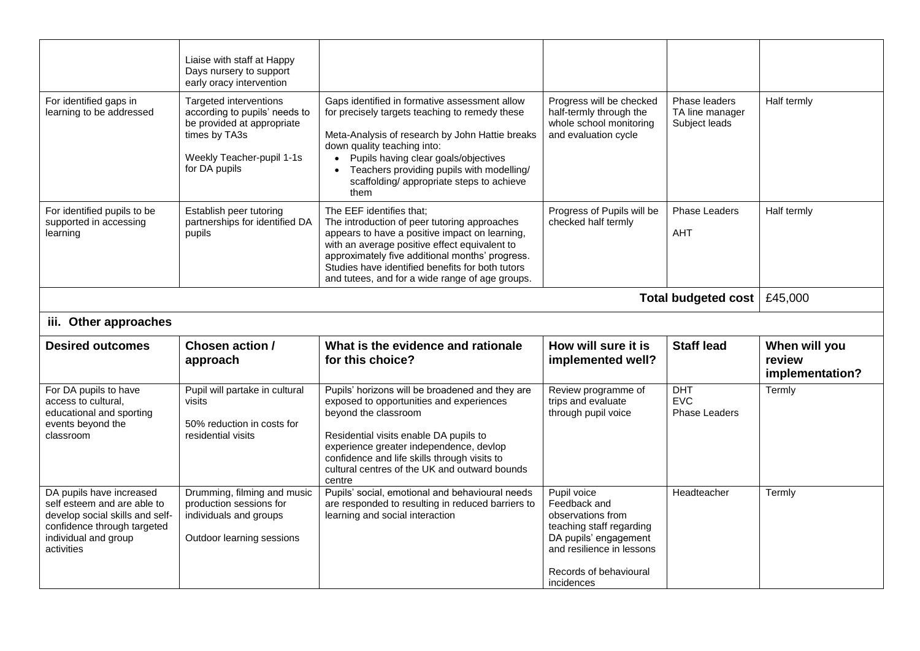|                                                                                                                                        | Liaise with staff at Happy<br>Days nursery to support<br>early oracy intervention                                                                    |                                                                                                                                                                                                                                                                                                                                                                        |                                                                                                        |                                                                 |                           |  |  |
|----------------------------------------------------------------------------------------------------------------------------------------|------------------------------------------------------------------------------------------------------------------------------------------------------|------------------------------------------------------------------------------------------------------------------------------------------------------------------------------------------------------------------------------------------------------------------------------------------------------------------------------------------------------------------------|--------------------------------------------------------------------------------------------------------|-----------------------------------------------------------------|---------------------------|--|--|
| For identified gaps in<br>learning to be addressed                                                                                     | Targeted interventions<br>according to pupils' needs to<br>be provided at appropriate<br>times by TA3s<br>Weekly Teacher-pupil 1-1s<br>for DA pupils | Gaps identified in formative assessment allow<br>for precisely targets teaching to remedy these<br>Meta-Analysis of research by John Hattie breaks<br>down quality teaching into:<br>Pupils having clear goals/objectives<br>Teachers providing pupils with modelling/<br>$\bullet$<br>scaffolding/ appropriate steps to achieve<br>them                               | Progress will be checked<br>half-termly through the<br>whole school monitoring<br>and evaluation cycle | Phase leaders<br>TA line manager<br>Subject leads               | Half termly               |  |  |
| For identified pupils to be<br>supported in accessing<br>learning                                                                      | Establish peer tutoring<br>partnerships for identified DA<br>pupils                                                                                  | The EEF identifies that;<br>The introduction of peer tutoring approaches<br>appears to have a positive impact on learning,<br>with an average positive effect equivalent to<br>approximately five additional months' progress.<br>Studies have identified benefits for both tutors<br>and tutees, and for a wide range of age groups.                                  | Progress of Pupils will be<br>checked half termly                                                      | Phase Leaders<br><b>AHT</b>                                     | Half termly               |  |  |
| <b>Total budgeted cost</b>                                                                                                             |                                                                                                                                                      |                                                                                                                                                                                                                                                                                                                                                                        |                                                                                                        |                                                                 |                           |  |  |
| iii. Other approaches                                                                                                                  |                                                                                                                                                      |                                                                                                                                                                                                                                                                                                                                                                        |                                                                                                        |                                                                 |                           |  |  |
| <b>Desired outcomes</b>                                                                                                                | Chosen action /                                                                                                                                      | What is the evidence and rationale                                                                                                                                                                                                                                                                                                                                     | How will sure it is                                                                                    | <b>Staff lead</b>                                               | When will you             |  |  |
|                                                                                                                                        | approach                                                                                                                                             | for this choice?                                                                                                                                                                                                                                                                                                                                                       | implemented well?                                                                                      |                                                                 | review<br>implementation? |  |  |
| For DA pupils to have<br>access to cultural,<br>educational and sporting<br>events beyond the<br>classroom<br>DA pupils have increased | Pupil will partake in cultural<br>visits<br>50% reduction in costs for<br>residential visits<br>Drumming, filming and music                          | Pupils' horizons will be broadened and they are<br>exposed to opportunities and experiences<br>beyond the classroom<br>Residential visits enable DA pupils to<br>experience greater independence, devlop<br>confidence and life skills through visits to<br>cultural centres of the UK and outward bounds<br>centre<br>Pupils' social, emotional and behavioural needs | Review programme of<br>trips and evaluate<br>through pupil voice<br>Pupil voice                        | <b>DHT</b><br><b>EVC</b><br><b>Phase Leaders</b><br>Headteacher | Termly<br>Termly          |  |  |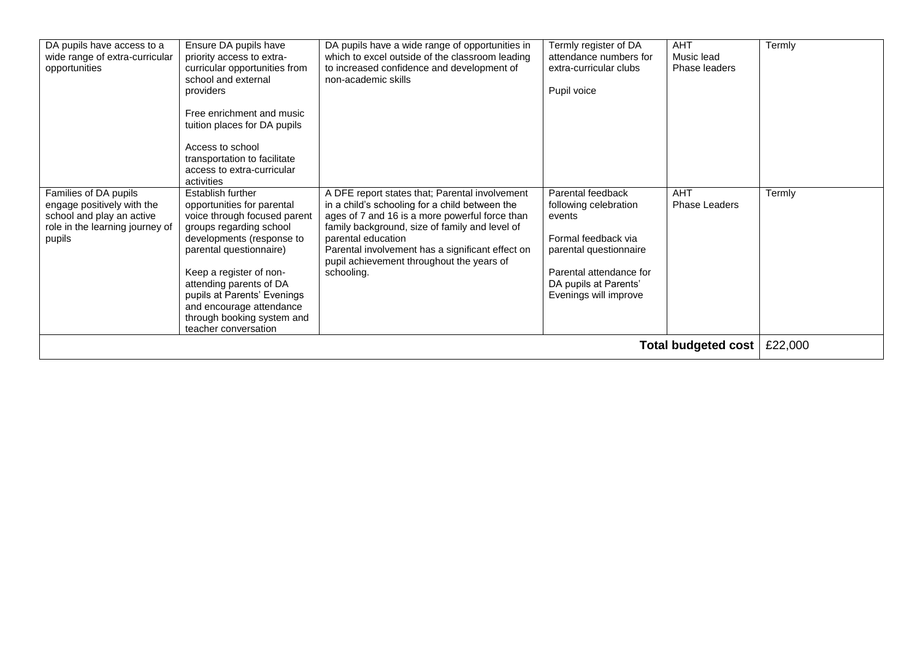| DA pupils have access to a<br>wide range of extra-curricular<br>opportunities                                                 | Ensure DA pupils have<br>priority access to extra-<br>curricular opportunities from<br>school and external<br>providers<br>Free enrichment and music<br>tuition places for DA pupils<br>Access to school<br>transportation to facilitate<br>access to extra-curricular<br>activities                                                      | DA pupils have a wide range of opportunities in<br>which to excel outside of the classroom leading<br>to increased confidence and development of<br>non-academic skills                                                                                                                                                                   | Termly register of DA<br>attendance numbers for<br>extra-curricular clubs<br>Pupil voice                                                                                           | <b>AHT</b><br>Music lead<br>Phase leaders | Termly  |
|-------------------------------------------------------------------------------------------------------------------------------|-------------------------------------------------------------------------------------------------------------------------------------------------------------------------------------------------------------------------------------------------------------------------------------------------------------------------------------------|-------------------------------------------------------------------------------------------------------------------------------------------------------------------------------------------------------------------------------------------------------------------------------------------------------------------------------------------|------------------------------------------------------------------------------------------------------------------------------------------------------------------------------------|-------------------------------------------|---------|
| Families of DA pupils<br>engage positively with the<br>school and play an active<br>role in the learning journey of<br>pupils | Establish further<br>opportunities for parental<br>voice through focused parent<br>groups regarding school<br>developments (response to<br>parental questionnaire)<br>Keep a register of non-<br>attending parents of DA<br>pupils at Parents' Evenings<br>and encourage attendance<br>through booking system and<br>teacher conversation | A DFE report states that; Parental involvement<br>in a child's schooling for a child between the<br>ages of 7 and 16 is a more powerful force than<br>family background, size of family and level of<br>parental education<br>Parental involvement has a significant effect on<br>pupil achievement throughout the years of<br>schooling. | Parental feedback<br>following celebration<br>events<br>Formal feedback via<br>parental questionnaire<br>Parental attendance for<br>DA pupils at Parents'<br>Evenings will improve | <b>AHT</b><br><b>Phase Leaders</b>        | Termly  |
|                                                                                                                               |                                                                                                                                                                                                                                                                                                                                           |                                                                                                                                                                                                                                                                                                                                           |                                                                                                                                                                                    | Total budgeted cost                       | £22,000 |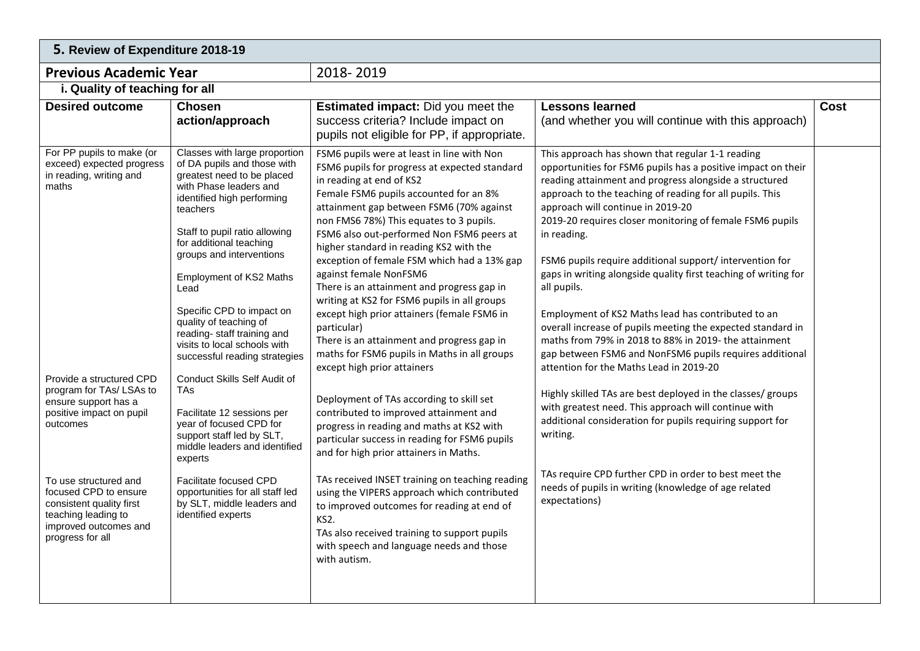| 5. Review of Expenditure 2018-19                                                                                                                                                                                                                                                                                                                                     |                                                                                                                                                                                                                                                                                                                                                                                                                                                                                                                                                                                                                                                                                                                                                  |                                                                                                                                                                                                                                                                                                                                                                                                                                                                                                                                                                                                                                                                                                                                                                                                                                                                                                                                                                                                                                                                                                                                                                                                                      |                                                                                                                                                                                                                                                                                                                                                                                                                                                                                                                                                                                                                                                                                                                                                                                                                                                                                                                                                                                                                                                                                                                            |      |  |  |
|----------------------------------------------------------------------------------------------------------------------------------------------------------------------------------------------------------------------------------------------------------------------------------------------------------------------------------------------------------------------|--------------------------------------------------------------------------------------------------------------------------------------------------------------------------------------------------------------------------------------------------------------------------------------------------------------------------------------------------------------------------------------------------------------------------------------------------------------------------------------------------------------------------------------------------------------------------------------------------------------------------------------------------------------------------------------------------------------------------------------------------|----------------------------------------------------------------------------------------------------------------------------------------------------------------------------------------------------------------------------------------------------------------------------------------------------------------------------------------------------------------------------------------------------------------------------------------------------------------------------------------------------------------------------------------------------------------------------------------------------------------------------------------------------------------------------------------------------------------------------------------------------------------------------------------------------------------------------------------------------------------------------------------------------------------------------------------------------------------------------------------------------------------------------------------------------------------------------------------------------------------------------------------------------------------------------------------------------------------------|----------------------------------------------------------------------------------------------------------------------------------------------------------------------------------------------------------------------------------------------------------------------------------------------------------------------------------------------------------------------------------------------------------------------------------------------------------------------------------------------------------------------------------------------------------------------------------------------------------------------------------------------------------------------------------------------------------------------------------------------------------------------------------------------------------------------------------------------------------------------------------------------------------------------------------------------------------------------------------------------------------------------------------------------------------------------------------------------------------------------------|------|--|--|
| <b>Previous Academic Year</b>                                                                                                                                                                                                                                                                                                                                        |                                                                                                                                                                                                                                                                                                                                                                                                                                                                                                                                                                                                                                                                                                                                                  | 2018-2019                                                                                                                                                                                                                                                                                                                                                                                                                                                                                                                                                                                                                                                                                                                                                                                                                                                                                                                                                                                                                                                                                                                                                                                                            |                                                                                                                                                                                                                                                                                                                                                                                                                                                                                                                                                                                                                                                                                                                                                                                                                                                                                                                                                                                                                                                                                                                            |      |  |  |
| i. Quality of teaching for all                                                                                                                                                                                                                                                                                                                                       |                                                                                                                                                                                                                                                                                                                                                                                                                                                                                                                                                                                                                                                                                                                                                  |                                                                                                                                                                                                                                                                                                                                                                                                                                                                                                                                                                                                                                                                                                                                                                                                                                                                                                                                                                                                                                                                                                                                                                                                                      |                                                                                                                                                                                                                                                                                                                                                                                                                                                                                                                                                                                                                                                                                                                                                                                                                                                                                                                                                                                                                                                                                                                            |      |  |  |
| <b>Desired outcome</b>                                                                                                                                                                                                                                                                                                                                               | <b>Chosen</b><br>action/approach                                                                                                                                                                                                                                                                                                                                                                                                                                                                                                                                                                                                                                                                                                                 | <b>Estimated impact:</b> Did you meet the<br>success criteria? Include impact on<br>pupils not eligible for PP, if appropriate.                                                                                                                                                                                                                                                                                                                                                                                                                                                                                                                                                                                                                                                                                                                                                                                                                                                                                                                                                                                                                                                                                      | <b>Lessons learned</b><br>(and whether you will continue with this approach)                                                                                                                                                                                                                                                                                                                                                                                                                                                                                                                                                                                                                                                                                                                                                                                                                                                                                                                                                                                                                                               | Cost |  |  |
| For PP pupils to make (or<br>exceed) expected progress<br>in reading, writing and<br>maths<br>Provide a structured CPD<br>program for TAs/ LSAs to<br>ensure support has a<br>positive impact on pupil<br>outcomes<br>To use structured and<br>focused CPD to ensure<br>consistent quality first<br>teaching leading to<br>improved outcomes and<br>progress for all | Classes with large proportion<br>of DA pupils and those with<br>greatest need to be placed<br>with Phase leaders and<br>identified high performing<br>teachers<br>Staff to pupil ratio allowing<br>for additional teaching<br>groups and interventions<br><b>Employment of KS2 Maths</b><br>Lead<br>Specific CPD to impact on<br>quality of teaching of<br>reading-staff training and<br>visits to local schools with<br>successful reading strategies<br>Conduct Skills Self Audit of<br>TAs<br>Facilitate 12 sessions per<br>year of focused CPD for<br>support staff led by SLT,<br>middle leaders and identified<br>experts<br>Facilitate focused CPD<br>opportunities for all staff led<br>by SLT, middle leaders and<br>identified experts | FSM6 pupils were at least in line with Non<br>FSM6 pupils for progress at expected standard<br>in reading at end of KS2<br>Female FSM6 pupils accounted for an 8%<br>attainment gap between FSM6 (70% against<br>non FMS6 78%) This equates to 3 pupils.<br>FSM6 also out-performed Non FSM6 peers at<br>higher standard in reading KS2 with the<br>exception of female FSM which had a 13% gap<br>against female NonFSM6<br>There is an attainment and progress gap in<br>writing at KS2 for FSM6 pupils in all groups<br>except high prior attainers (female FSM6 in<br>particular)<br>There is an attainment and progress gap in<br>maths for FSM6 pupils in Maths in all groups<br>except high prior attainers<br>Deployment of TAs according to skill set<br>contributed to improved attainment and<br>progress in reading and maths at KS2 with<br>particular success in reading for FSM6 pupils<br>and for high prior attainers in Maths.<br>TAs received INSET training on teaching reading<br>using the VIPERS approach which contributed<br>to improved outcomes for reading at end of<br>KS2.<br>TAs also received training to support pupils<br>with speech and language needs and those<br>with autism. | This approach has shown that regular 1-1 reading<br>opportunities for FSM6 pupils has a positive impact on their<br>reading attainment and progress alongside a structured<br>approach to the teaching of reading for all pupils. This<br>approach will continue in 2019-20<br>2019-20 requires closer monitoring of female FSM6 pupils<br>in reading.<br>FSM6 pupils require additional support/ intervention for<br>gaps in writing alongside quality first teaching of writing for<br>all pupils.<br>Employment of KS2 Maths lead has contributed to an<br>overall increase of pupils meeting the expected standard in<br>maths from 79% in 2018 to 88% in 2019- the attainment<br>gap between FSM6 and NonFSM6 pupils requires additional<br>attention for the Maths Lead in 2019-20<br>Highly skilled TAs are best deployed in the classes/ groups<br>with greatest need. This approach will continue with<br>additional consideration for pupils requiring support for<br>writing.<br>TAs require CPD further CPD in order to best meet the<br>needs of pupils in writing (knowledge of age related<br>expectations) |      |  |  |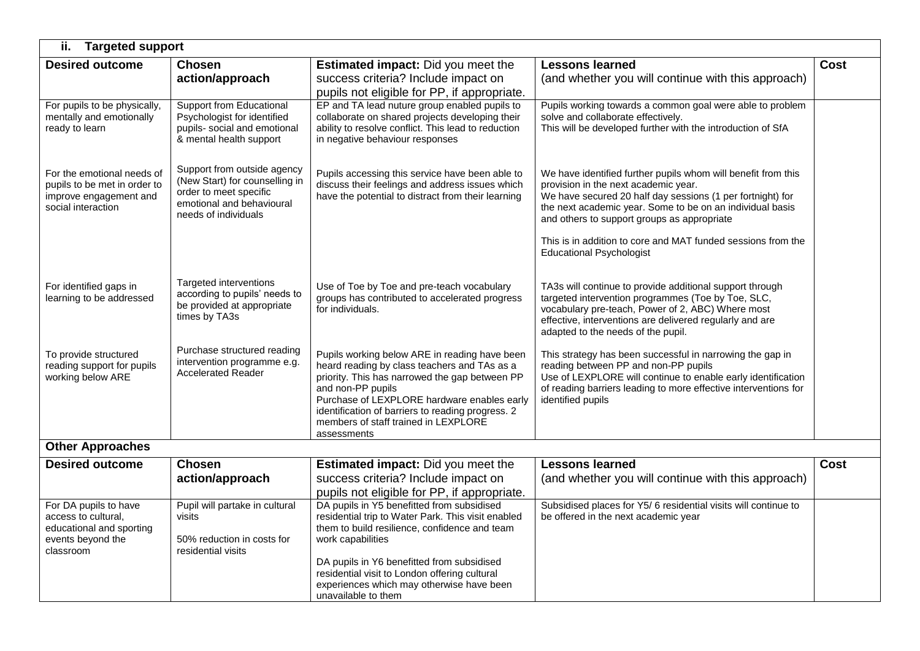| ii.<br><b>Targeted support</b>                                                                             |                                                                                                                                              |                                                                                                                                                                                                                                                                                                                                           |                                                                                                                                                                                                                                                                                                                                                                                    |             |  |  |  |
|------------------------------------------------------------------------------------------------------------|----------------------------------------------------------------------------------------------------------------------------------------------|-------------------------------------------------------------------------------------------------------------------------------------------------------------------------------------------------------------------------------------------------------------------------------------------------------------------------------------------|------------------------------------------------------------------------------------------------------------------------------------------------------------------------------------------------------------------------------------------------------------------------------------------------------------------------------------------------------------------------------------|-------------|--|--|--|
| <b>Desired outcome</b>                                                                                     | <b>Chosen</b><br>action/approach                                                                                                             | <b>Estimated impact:</b> Did you meet the<br>success criteria? Include impact on<br>pupils not eligible for PP, if appropriate.                                                                                                                                                                                                           | <b>Lessons learned</b><br>(and whether you will continue with this approach)                                                                                                                                                                                                                                                                                                       | <b>Cost</b> |  |  |  |
| For pupils to be physically,<br>mentally and emotionally<br>ready to learn                                 | <b>Support from Educational</b><br>Psychologist for identified<br>pupils- social and emotional<br>& mental health support                    | EP and TA lead nuture group enabled pupils to<br>collaborate on shared projects developing their<br>ability to resolve conflict. This lead to reduction<br>in negative behaviour responses                                                                                                                                                | Pupils working towards a common goal were able to problem<br>solve and collaborate effectively.<br>This will be developed further with the introduction of SfA                                                                                                                                                                                                                     |             |  |  |  |
| For the emotional needs of<br>pupils to be met in order to<br>improve engagement and<br>social interaction | Support from outside agency<br>(New Start) for counselling in<br>order to meet specific<br>emotional and behavioural<br>needs of individuals | Pupils accessing this service have been able to<br>discuss their feelings and address issues which<br>have the potential to distract from their learning                                                                                                                                                                                  | We have identified further pupils whom will benefit from this<br>provision in the next academic year.<br>We have secured 20 half day sessions (1 per fortnight) for<br>the next academic year. Some to be on an individual basis<br>and others to support groups as appropriate<br>This is in addition to core and MAT funded sessions from the<br><b>Educational Psychologist</b> |             |  |  |  |
| For identified gaps in<br>learning to be addressed                                                         | Targeted interventions<br>according to pupils' needs to<br>be provided at appropriate<br>times by TA3s                                       | Use of Toe by Toe and pre-teach vocabulary<br>groups has contributed to accelerated progress<br>for individuals.                                                                                                                                                                                                                          | TA3s will continue to provide additional support through<br>targeted intervention programmes (Toe by Toe, SLC,<br>vocabulary pre-teach, Power of 2, ABC) Where most<br>effective, interventions are delivered regularly and are<br>adapted to the needs of the pupil.                                                                                                              |             |  |  |  |
| To provide structured<br>reading support for pupils<br>working below ARE                                   | Purchase structured reading<br>intervention programme e.g.<br><b>Accelerated Reader</b>                                                      | Pupils working below ARE in reading have been<br>heard reading by class teachers and TAs as a<br>priority. This has narrowed the gap between PP<br>and non-PP pupils<br>Purchase of LEXPLORE hardware enables early<br>identification of barriers to reading progress. 2<br>members of staff trained in LEXPLORE<br>assessments           | This strategy has been successful in narrowing the gap in<br>reading between PP and non-PP pupils<br>Use of LEXPLORE will continue to enable early identification<br>of reading barriers leading to more effective interventions for<br>identified pupils                                                                                                                          |             |  |  |  |
| <b>Other Approaches</b>                                                                                    |                                                                                                                                              |                                                                                                                                                                                                                                                                                                                                           |                                                                                                                                                                                                                                                                                                                                                                                    |             |  |  |  |
| <b>Desired outcome</b>                                                                                     | <b>Chosen</b><br>action/approach                                                                                                             | <b>Estimated impact:</b> Did you meet the<br>success criteria? Include impact on<br>pupils not eligible for PP, if appropriate.                                                                                                                                                                                                           | <b>Lessons learned</b><br>(and whether you will continue with this approach)                                                                                                                                                                                                                                                                                                       | <b>Cost</b> |  |  |  |
| For DA pupils to have<br>access to cultural,<br>educational and sporting<br>events beyond the<br>classroom | Pupil will partake in cultural<br>visits<br>50% reduction in costs for<br>residential visits                                                 | DA pupils in Y5 benefitted from subsidised<br>residential trip to Water Park. This visit enabled<br>them to build resilience, confidence and team<br>work capabilities<br>DA pupils in Y6 benefitted from subsidised<br>residential visit to London offering cultural<br>experiences which may otherwise have been<br>unavailable to them | Subsidised places for Y5/6 residential visits will continue to<br>be offered in the next academic year                                                                                                                                                                                                                                                                             |             |  |  |  |